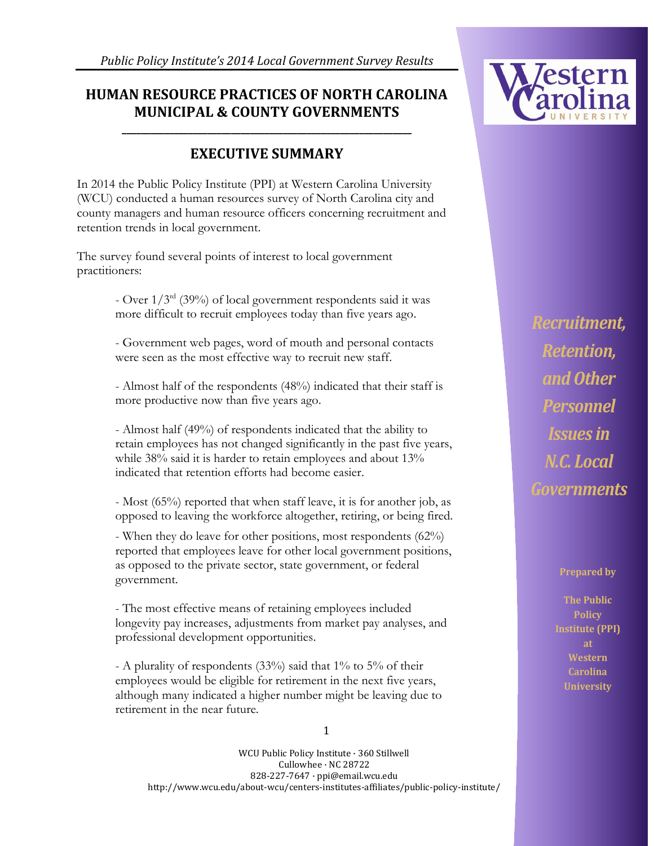## **HUMAN RESOURCE PRACTICES OF NORTH CAROLINA MUNICIPAL & COUNTY GOVERNMENTS**

# **EXECUTIVE SUMMARY**

**\_\_\_\_\_\_\_\_\_\_\_\_\_\_\_\_\_\_\_\_\_\_\_\_\_\_\_\_\_\_\_\_\_\_\_\_\_\_\_\_\_\_\_\_\_\_\_\_\_\_\_\_\_\_\_\_\_\_\_\_\_**

In 2014 the Public Policy Institute (PPI) at Western Carolina University (WCU) conducted a human resources survey of North Carolina city and county managers and human resource officers concerning recruitment and retention trends in local government.

The survey found several points of interest to local government practitioners:

> - Over  $1/3^{rd}$  (39%) of local government respondents said it was more difficult to recruit employees today than five years ago.

> - Government web pages, word of mouth and personal contacts were seen as the most effective way to recruit new staff.

- Almost half of the respondents (48%) indicated that their staff is more productive now than five years ago.

- Almost half (49%) of respondents indicated that the ability to retain employees has not changed significantly in the past five years, while 38% said it is harder to retain employees and about 13% indicated that retention efforts had become easier.

- Most (65%) reported that when staff leave, it is for another job, as opposed to leaving the workforce altogether, retiring, or being fired.

- When they do leave for other positions, most respondents (62%) reported that employees leave for other local government positions, as opposed to the private sector, state government, or federal government.

- The most effective means of retaining employees included longevity pay increases, adjustments from market pay analyses, and professional development opportunities.

- A plurality of respondents (33%) said that 1% to 5% of their employees would be eligible for retirement in the next five years, although many indicated a higher number might be leaving due to retirement in the near future.



*Recruitment, Retention, and Other Personnel Issues in N.C. Local Governments* 

**Prepared by**

**The Public Policy Institute (PPI) at Western Carolina University**

1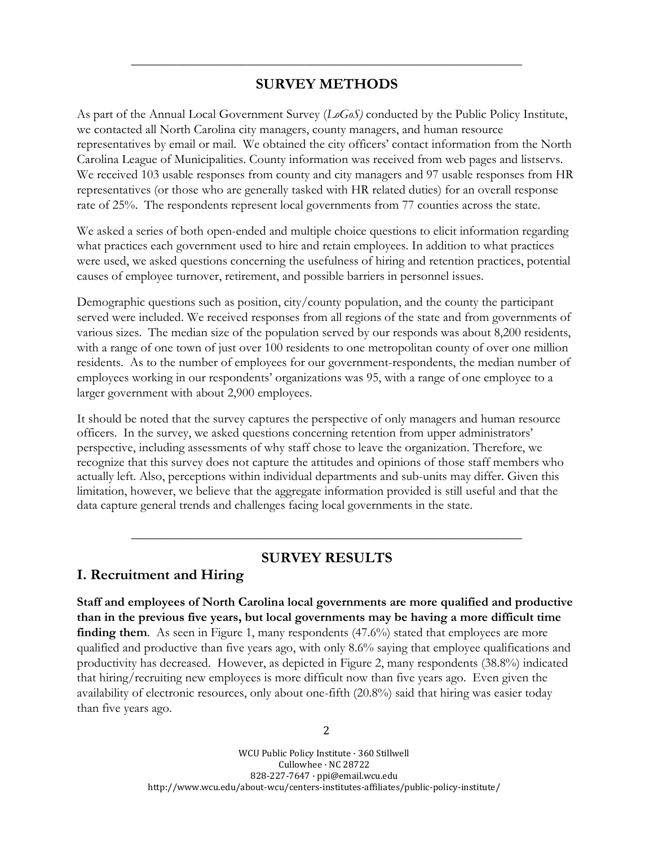### **SURVEY METHODS**

**\_\_\_\_\_\_\_\_\_\_\_\_\_\_\_\_\_\_\_\_\_\_\_\_\_\_\_\_\_\_\_\_\_\_\_\_\_\_\_\_\_\_\_\_\_\_\_\_\_\_\_\_\_\_\_\_\_\_\_\_\_**

As part of the Annual Local Government Survey (*LoGoS)* conducted by the Public Policy Institute, we contacted all North Carolina city managers, county managers, and human resource representatives by email or mail. We obtained the city officers' contact information from the North Carolina League of Municipalities. County information was received from web pages and listservs. We received 103 usable responses from county and city managers and 97 usable responses from HR representatives (or those who are generally tasked with HR related duties) for an overall response rate of 25%. The respondents represent local governments from 77 counties across the state.

We asked a series of both open-ended and multiple choice questions to elicit information regarding what practices each government used to hire and retain employees. In addition to what practices were used, we asked questions concerning the usefulness of hiring and retention practices, potential causes of employee turnover, retirement, and possible barriers in personnel issues.

Demographic questions such as position, city/county population, and the county the participant served were included. We received responses from all regions of the state and from governments of various sizes. The median size of the population served by our responds was about 8,200 residents, with a range of one town of just over 100 residents to one metropolitan county of over one million residents. As to the number of employees for our government-respondents, the median number of employees working in our respondents' organizations was 95, with a range of one employee to a larger government with about 2,900 employees.

It should be noted that the survey captures the perspective of only managers and human resource officers. In the survey, we asked questions concerning retention from upper administrators' perspective, including assessments of why staff chose to leave the organization. Therefore, we recognize that this survey does not capture the attitudes and opinions of those staff members who actually left. Also, perceptions within individual departments and sub-units may differ. Given this limitation, however, we believe that the aggregate information provided is still useful and that the data capture general trends and challenges facing local governments in the state.

### **SURVEY RESULTS**

**\_\_\_\_\_\_\_\_\_\_\_\_\_\_\_\_\_\_\_\_\_\_\_\_\_\_\_\_\_\_\_\_\_\_\_\_\_\_\_\_\_\_\_\_\_\_\_\_\_\_\_\_\_\_\_\_\_\_\_\_\_**

### **I. Recruitment and Hiring**

**Staff and employees of North Carolina local governments are more qualified and productive than in the previous five years, but local governments may be having a more difficult time finding them.** As seen in Figure 1, many respondents (47.6%) stated that employees are more qualified and productive than five years ago, with only 8.6% saying that employee qualifications and productivity has decreased. However, as depicted in Figure 2, many respondents (38.8%) indicated that hiring/recruiting new employees is more difficult now than five years ago. Even given the availability of electronic resources, only about one-fifth (20.8%) said that hiring was easier today than five years ago.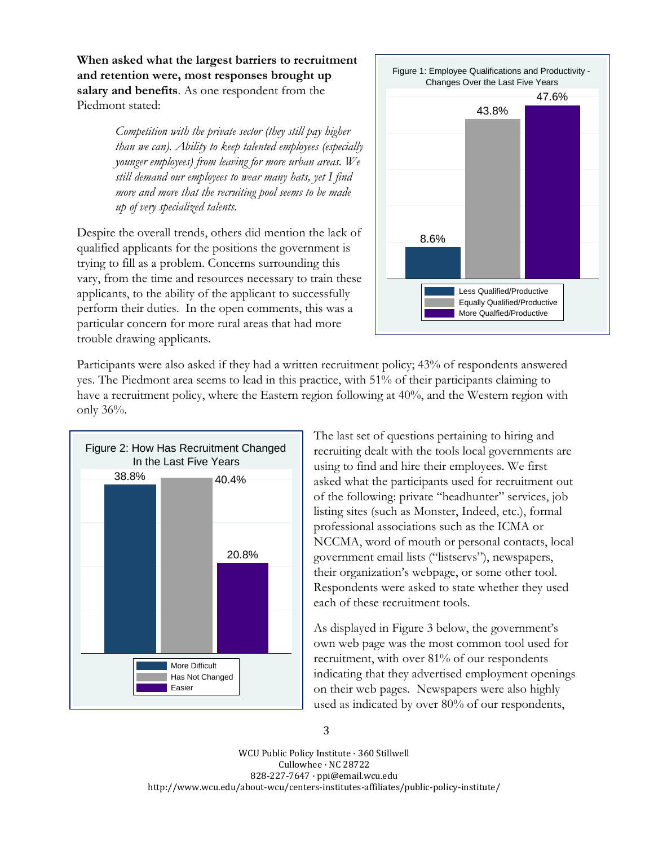**When asked what the largest barriers to recruitment and retention were, most responses brought up salary and benefits**. As one respondent from the Piedmont stated:

> *Competition with the private sector (they still pay higher than we can). Ability to keep talented employees (especially younger employees) from leaving for more urban areas. We still demand our employees to wear many hats, yet I find more and more that the recruiting pool seems to be made up of very specialized talents.*

Despite the overall trends, others did mention the lack of qualified applicants for the positions the government is trying to fill as a problem. Concerns surrounding this vary, from the time and resources necessary to train these applicants, to the ability of the applicant to successfully perform their duties. In the open comments, this was a particular concern for more rural areas that had more trouble drawing applicants.



Participants were also asked if they had a written recruitment policy; 43% of respondents answered yes. The Piedmont area seems to lead in this practice, with 51% of their participants claiming to have a recruitment policy, where the Eastern region following at 40%, and the Western region with only 36%.



The last set of questions pertaining to hiring and recruiting dealt with the tools local governments are using to find and hire their employees. We first asked what the participants used for recruitment out of the following: private "headhunter" services, job listing sites (such as Monster, Indeed, etc.), formal professional associations such as the ICMA or NCCMA, word of mouth or personal contacts, local government email lists ("listservs"), newspapers, their organization's webpage, or some other tool. Respondents were asked to state whether they used each of these recruitment tools.

As displayed in Figure 3 below, the government's own web page was the most common tool used for recruitment, with over 81% of our respondents indicating that they advertised employment openings on their web pages. Newspapers were also highly used as indicated by over 80% of our respondents,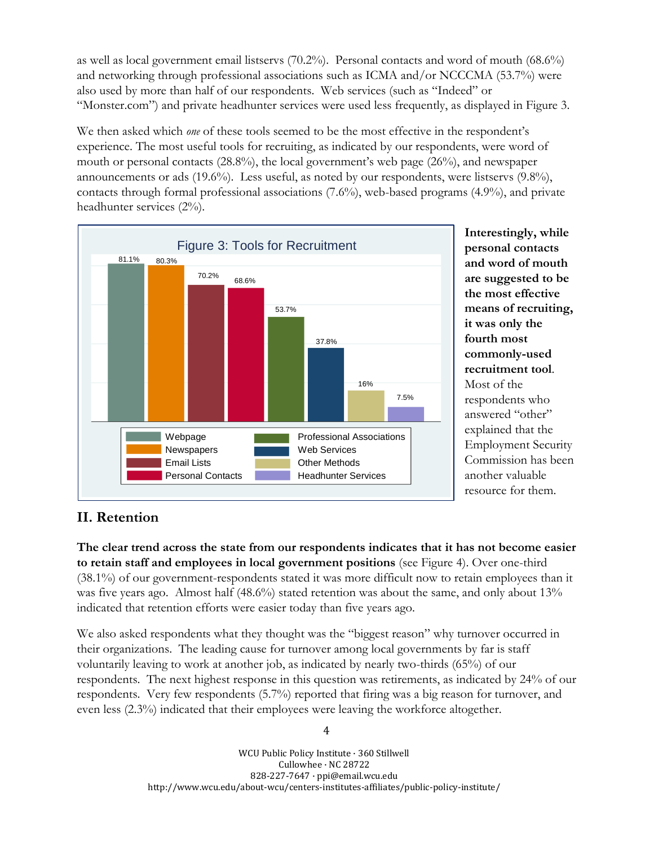as well as local government email listservs (70.2%). Personal contacts and word of mouth (68.6%) and networking through professional associations such as ICMA and/or NCCCMA (53.7%) were also used by more than half of our respondents. Web services (such as "Indeed" or "Monster.com") and private headhunter services were used less frequently, as displayed in Figure 3.

We then asked which *one* of these tools seemed to be the most effective in the respondent's experience. The most useful tools for recruiting, as indicated by our respondents, were word of mouth or personal contacts (28.8%), the local government's web page (26%), and newspaper announcements or ads (19.6%). Less useful, as noted by our respondents, were listservs (9.8%), contacts through formal professional associations (7.6%), web-based programs (4.9%), and private headhunter services (2%).



**Interestingly, while personal contacts and word of mouth are suggested to be the most effective means of recruiting, it was only the fourth most commonly-used recruitment tool**. Most of the respondents who answered "other" explained that the Employment Security Commission has been another valuable resource for them.

## **II. Retention**

**The clear trend across the state from our respondents indicates that it has not become easier to retain staff and employees in local government positions** (see Figure 4). Over one-third (38.1%) of our government-respondents stated it was more difficult now to retain employees than it was five years ago. Almost half (48.6%) stated retention was about the same, and only about 13% indicated that retention efforts were easier today than five years ago.

We also asked respondents what they thought was the "biggest reason" why turnover occurred in their organizations. The leading cause for turnover among local governments by far is staff voluntarily leaving to work at another job, as indicated by nearly two-thirds (65%) of our respondents. The next highest response in this question was retirements, as indicated by 24% of our respondents. Very few respondents (5.7%) reported that firing was a big reason for turnover, and even less (2.3%) indicated that their employees were leaving the workforce altogether.

> WCU Public Policy Institute · 360 Stillwell Cullowhee · NC 28722 828-227-7647 · ppi@email.wcu.edu http://www.wcu.edu/about-wcu/centers-institutes-affiliates/public-policy-institute/

4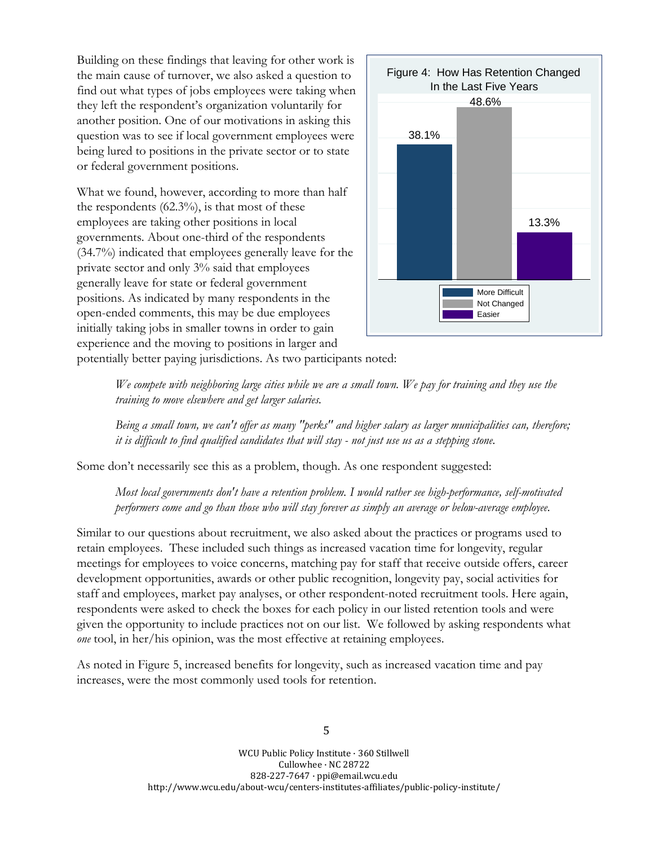Building on these findings that leaving for other work is the main cause of turnover, we also asked a question to find out what types of jobs employees were taking when they left the respondent's organization voluntarily for another position. One of our motivations in asking this question was to see if local government employees were being lured to positions in the private sector or to state or federal government positions.

What we found, however, according to more than half the respondents  $(62.3\%)$ , is that most of these employees are taking other positions in local governments. About one-third of the respondents (34.7%) indicated that employees generally leave for the private sector and only 3% said that employees generally leave for state or federal government positions. As indicated by many respondents in the open-ended comments, this may be due employees initially taking jobs in smaller towns in order to gain experience and the moving to positions in larger and



potentially better paying jurisdictions. As two participants noted:

We compete with neighboring large cities while we are a small town. We pay for training and they use the *training to move elsewhere and get larger salaries.*

Being a small town, we can't offer as many "perks" and higher salary as larger municipalities can, therefore; it is difficult to find qualified candidates that will stay - not just use us as a stepping stone.

Some don't necessarily see this as a problem, though. As one respondent suggested:

*Most local governments don't have a retention problem. I would rather see high-performance, self-motivated performers come and go than those who will stay forever as simply an average or below-average employee.*

Similar to our questions about recruitment, we also asked about the practices or programs used to retain employees. These included such things as increased vacation time for longevity, regular meetings for employees to voice concerns, matching pay for staff that receive outside offers, career development opportunities, awards or other public recognition, longevity pay, social activities for staff and employees, market pay analyses, or other respondent-noted recruitment tools. Here again, respondents were asked to check the boxes for each policy in our listed retention tools and were given the opportunity to include practices not on our list. We followed by asking respondents what *one* tool, in her/his opinion, was the most effective at retaining employees.

As noted in Figure 5, increased benefits for longevity, such as increased vacation time and pay increases, were the most commonly used tools for retention.

5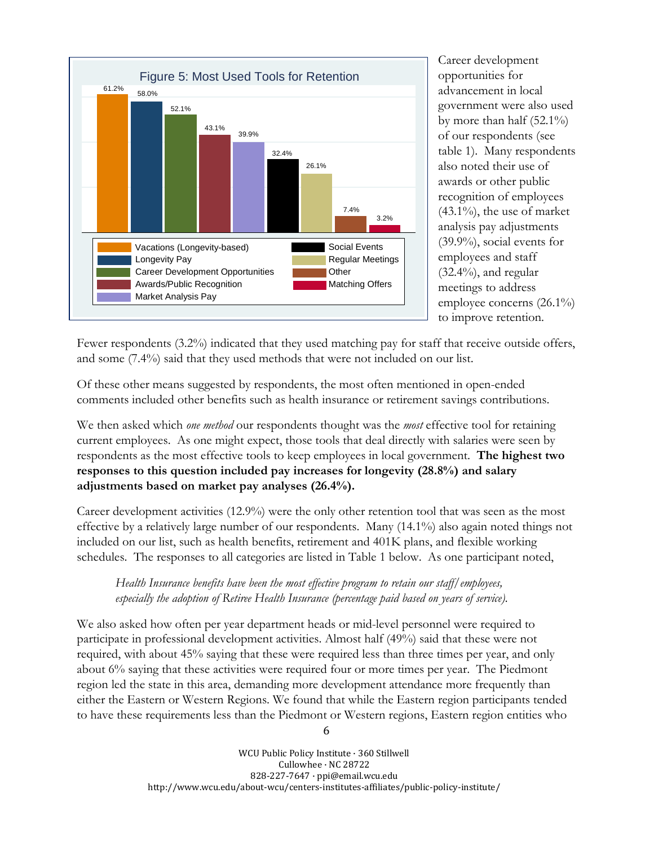

Career development opportunities for advancement in local government were also used by more than half  $(52.1\%)$ of our respondents (see table 1). Many respondents also noted their use of awards or other public recognition of employees  $(43.1\%)$ , the use of market analysis pay adjustments (39.9%), social events for employees and staff  $(32.4\%)$ , and regular meetings to address employee concerns (26.1%) to improve retention.

Fewer respondents (3.2%) indicated that they used matching pay for staff that receive outside offers, and some (7.4%) said that they used methods that were not included on our list.

Of these other means suggested by respondents, the most often mentioned in open-ended comments included other benefits such as health insurance or retirement savings contributions.

We then asked which *one method* our respondents thought was the *most* effective tool for retaining current employees. As one might expect, those tools that deal directly with salaries were seen by respondents as the most effective tools to keep employees in local government. **The highest two responses to this question included pay increases for longevity (28.8%) and salary adjustments based on market pay analyses (26.4%).**

Career development activities (12.9%) were the only other retention tool that was seen as the most effective by a relatively large number of our respondents. Many (14.1%) also again noted things not included on our list, such as health benefits, retirement and 401K plans, and flexible working schedules. The responses to all categories are listed in Table 1 below. As one participant noted,

*Health Insurance benefits have been the most effective program to retain our staff/employees, especially the adoption of Retiree Health Insurance (percentage paid based on years of service).*

We also asked how often per year department heads or mid-level personnel were required to participate in professional development activities. Almost half (49%) said that these were not required, with about 45% saying that these were required less than three times per year, and only about 6% saying that these activities were required four or more times per year. The Piedmont region led the state in this area, demanding more development attendance more frequently than either the Eastern or Western Regions. We found that while the Eastern region participants tended to have these requirements less than the Piedmont or Western regions, Eastern region entities who

6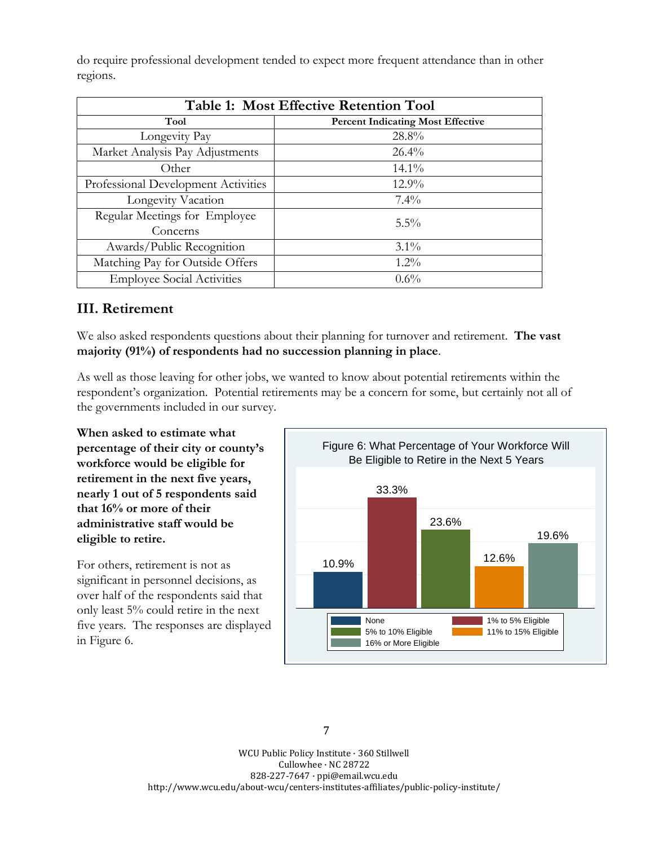do require professional development tended to expect more frequent attendance than in other regions.

| <b>Table 1: Most Effective Retention Tool</b> |                                          |
|-----------------------------------------------|------------------------------------------|
| Tool                                          | <b>Percent Indicating Most Effective</b> |
| Longevity Pay                                 | 28.8%                                    |
| Market Analysis Pay Adjustments               | 26.4%                                    |
| Other                                         | $14.1\%$                                 |
| Professional Development Activities           | $12.9\%$                                 |
| Longevity Vacation                            | $7.4\%$                                  |
| Regular Meetings for Employee<br>Concerns     | $5.5\%$                                  |
| Awards/Public Recognition                     | $3.1\%$                                  |
| Matching Pay for Outside Offers               | $1.2\%$                                  |
| <b>Employee Social Activities</b>             | $0.6\%$                                  |

### **III. Retirement**

We also asked respondents questions about their planning for turnover and retirement. **The vast majority (91%) of respondents had no succession planning in place**.

As well as those leaving for other jobs, we wanted to know about potential retirements within the respondent's organization. Potential retirements may be a concern for some, but certainly not all of the governments included in our survey.

**When asked to estimate what percentage of their city or county's workforce would be eligible for retirement in the next five years, nearly 1 out of 5 respondents said that 16% or more of their administrative staff would be eligible to retire.**

For others, retirement is not as significant in personnel decisions, as over half of the respondents said that only least 5% could retire in the next five years. The responses are displayed in Figure 6.

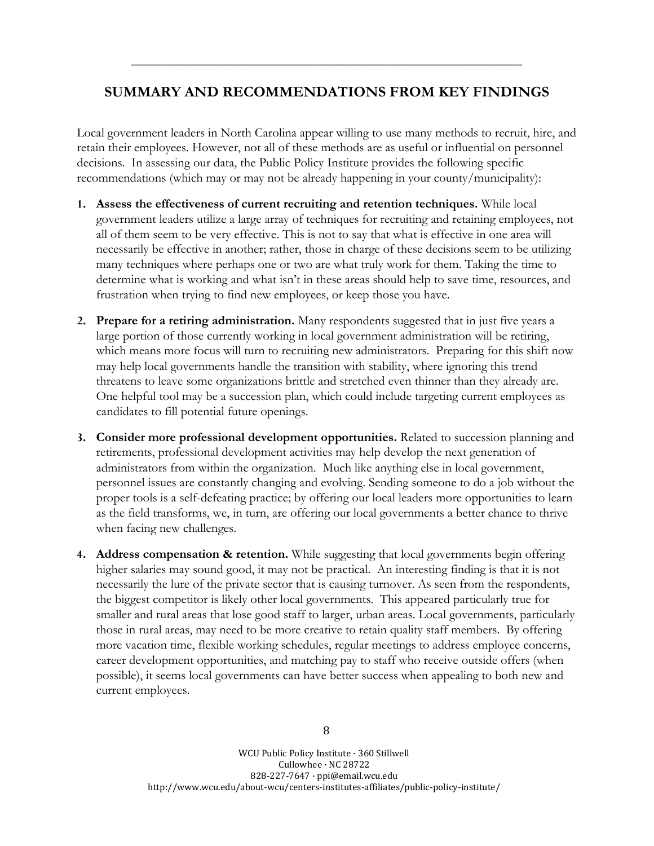## **SUMMARY AND RECOMMENDATIONS FROM KEY FINDINGS**

**\_\_\_\_\_\_\_\_\_\_\_\_\_\_\_\_\_\_\_\_\_\_\_\_\_\_\_\_\_\_\_\_\_\_\_\_\_\_\_\_\_\_\_\_\_\_\_\_\_\_\_\_\_\_\_\_\_\_\_\_\_**

Local government leaders in North Carolina appear willing to use many methods to recruit, hire, and retain their employees. However, not all of these methods are as useful or influential on personnel decisions. In assessing our data, the Public Policy Institute provides the following specific recommendations (which may or may not be already happening in your county/municipality):

- **1. Assess the effectiveness of current recruiting and retention techniques.** While local government leaders utilize a large array of techniques for recruiting and retaining employees, not all of them seem to be very effective. This is not to say that what is effective in one area will necessarily be effective in another; rather, those in charge of these decisions seem to be utilizing many techniques where perhaps one or two are what truly work for them. Taking the time to determine what is working and what isn't in these areas should help to save time, resources, and frustration when trying to find new employees, or keep those you have.
- **2. Prepare for a retiring administration.** Many respondents suggested that in just five years a large portion of those currently working in local government administration will be retiring, which means more focus will turn to recruiting new administrators. Preparing for this shift now may help local governments handle the transition with stability, where ignoring this trend threatens to leave some organizations brittle and stretched even thinner than they already are. One helpful tool may be a succession plan, which could include targeting current employees as candidates to fill potential future openings.
- **3. Consider more professional development opportunities.** Related to succession planning and retirements, professional development activities may help develop the next generation of administrators from within the organization. Much like anything else in local government, personnel issues are constantly changing and evolving. Sending someone to do a job without the proper tools is a self-defeating practice; by offering our local leaders more opportunities to learn as the field transforms, we, in turn, are offering our local governments a better chance to thrive when facing new challenges.
- **4. Address compensation & retention.** While suggesting that local governments begin offering higher salaries may sound good, it may not be practical. An interesting finding is that it is not necessarily the lure of the private sector that is causing turnover. As seen from the respondents, the biggest competitor is likely other local governments. This appeared particularly true for smaller and rural areas that lose good staff to larger, urban areas. Local governments, particularly those in rural areas, may need to be more creative to retain quality staff members. By offering more vacation time, flexible working schedules, regular meetings to address employee concerns, career development opportunities, and matching pay to staff who receive outside offers (when possible), it seems local governments can have better success when appealing to both new and current employees.